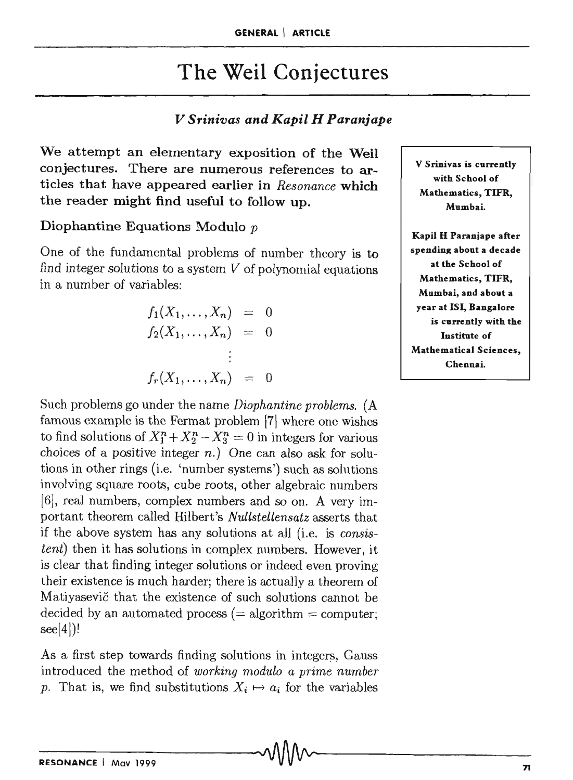# The Weil Conjectures

# *V Srinivas and Kapil H Paranjape*

We attempt an elementary exposition of the Weil conjectures. There are numerous references to articles that have appeared earlier in *Resonance* which the reader might find useful to follow up.

## Diophantine Equations Modulo *p*

One of the fundamental problems of number theory is to find integer solutions to a system  $V$  of polynomial equations in a number of variables:

$$
f_1(X_1,...,X_n) = 0
$$
  
\n
$$
f_2(X_1,...,X_n) = 0
$$
  
\n
$$
\vdots
$$
  
\n
$$
f_r(X_1,...,X_n) = 0
$$

Such problems go under the name *Diophantine problems.* (A famous example is the Fermat problem [7] where one wishes to find solutions of  $X_1^n + X_2^n - X_3^n = 0$  in integers for various choices of a positive integer  $n$ .) One can also ask for solutions in other rings (i.e. 'number systems') such as solutions involving square roots, cube roots, other algebraic numbers [6], real numbers, complex numbers and so on. A very important theorem called Hilbert's *Nullstellensatz* asserts that if the above system has any solutions at all (i.e. is *consistent*) then it has solutions in complex numbers. However, it is clear that finding integer solutions or indeed even proving their existence is much harder; there is actually a theorem of Matiyasevic that the existence of such solutions cannot be decided by an automated process  $(= algorithm = computer;$ 

As a first step towards finding solutions in integers, Gauss introduced the method of *working modulo a prime number*  p. That is, we find substitutions  $X_i \mapsto a_i$  for the variables

V Srinivas is currently with School of Mathematics, TIFR, Mumbai.

Kapil H Paranjape after spending about a decade at the School of Mathematics, TIFR, Mumbai, and about a year at lSI, Bangalore is currently with the Institute of Mathematical Sciences, Chennai.

see[4])!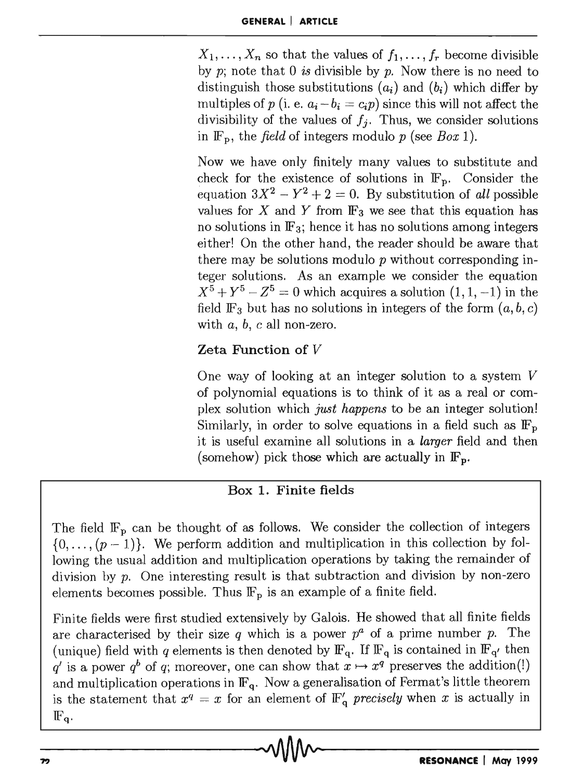$X_1, \ldots, X_n$  so that the values of  $f_1, \ldots, f_r$  become divisible by p; note that 0 *is* divisible by p. Now there is no need to distinguish those substitutions  $(a_i)$  and  $(b_i)$  which differ by multiples of *p* (i. e.  $a_i - b_i = c_i p$ ) since this will not affect the divisibility of the values of  $f_i$ . Thus, we consider solutions in  $\mathbb{F}_p$ , the *field* of integers modulo *p* (see *Box* 1).

Now we have only finitely many values to substitute and check for the existence of solutions in  $\mathbb{F}_n$ . Consider the equation  $3X^2 - Y^2 + 2 = 0$ . By substitution of *all* possible values for  $X$  and  $Y$  from  $\mathbb{F}_3$  we see that this equation has no solutions in  $\mathbb{F}_3$ ; hence it has no solutions among integers either! On the other hand, the reader should be aware that there may be solutions modulo *p* without corresponding integer solutions. As an example we consider the equation  $X^5 + Y^5 - Z^5 = 0$  which acquires a solution  $(1, 1, -1)$  in the field  $\mathbb{F}_3$  but has no solutions in integers of the form  $(a, b, c)$ with *a,* b, c all non-zero.

# Zeta Function of *V*

One way of looking at an integer solution to a system  $V$ of polynomial equations is to think of it as a real or complex solution which *just happens* to be an integer solution! Similarly, in order to solve equations in a field such as  $\mathbb{F}_p$ it is useful examine all solutions in a *larger* field and then (somehow) pick those which are actually in  $\mathbb{F}_p$ .

## Box 1. Finite fields

The field  $\mathbb{F}_p$  can be thought of as follows. We consider the collection of integers  $\{0, \ldots, (p-1)\}\.$  We perform addition and multiplication in this collection by following the usual addition and multiplication operations by taking the remainder of division by *p*. One interesting result is that subtraction and division by non-zero elements becomes possible. Thus  $\mathbb{F}_p$  is an example of a finite field.

Finite fields were first studied extensively by Galois. He showed that all finite fields are characterised by their size  $q$  which is a power  $p^a$  of a prime number  $p$ . The (unique) field with *q* elements is then denoted by  $\mathbb{F}_q$ . If  $\mathbb{F}_q$  is contained in  $\mathbb{F}_{q'}$  then *q'* is a power *q<sup>b</sup>* of *q*; moreover, one can show that  $x \mapsto x^q$  preserves the addition(!) and multiplication operations in  $\mathbb{F}_q$ . Now a generalisation of Fermat's little theorem is the statement that  $x^q = x$  for an element of  $\mathbb{F}'_q$  precisely when x is actually in  $\mathbb{F}_{q}$ .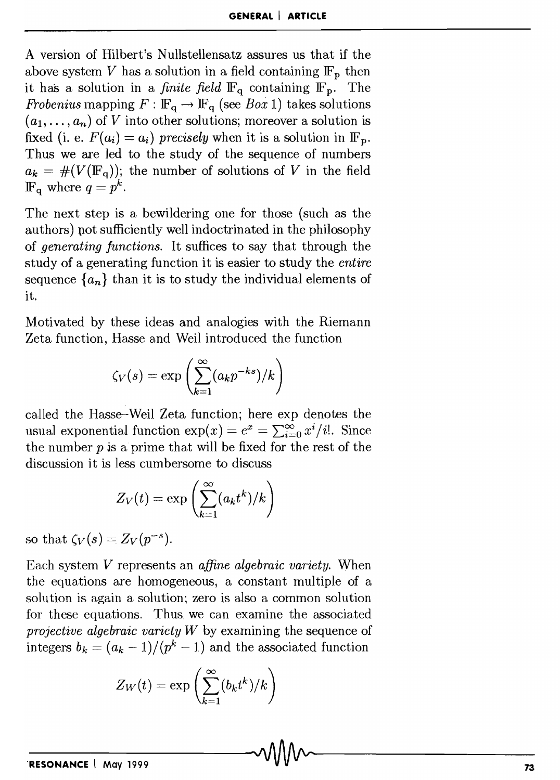A version of Hilbert's Nullstellensatz assures us that if the above system *V* has a solution in a field containing  $\mathbb{F}_p$  then it has a solution in a *finite field*  $\mathbb{F}_q$  containing  $\mathbb{F}_p$ . The *Frobenius* mapping  $F : \mathbb{F}_q \to \mathbb{F}_q$  (see *Box 1*) takes solutions  $(a_1, \ldots, a_n)$  of V into other solutions; moreover a solution is fixed (i. e.  $F(a_i) = a_i$ ) precisely when it is a solution in  $\mathbb{F}_p$ . Thus we are led to the study of the sequence of numbers  $a_k = #(V(\mathbb{F}_q))$ ; the number of solutions of V in the field  $\mathbb{F}_q$  where  $q = p^k$ .

The next step is a bewildering one for those (such as the authors) not sufficiently well indoctrinated in the philosophy of *generating function.s.* It suffices to say that through the study of a generating function it is easier to study the *entire*  sequence  $\{a_n\}$  than it is to study the individual elements of it.

Motivated by these ideas and analogies with the Riemann Zeta function, Hasse and Weil introduced the function

$$
\zeta_V(s) = \exp\left(\sum_{k=1}^{\infty} (a_k p^{-ks})/k\right)
$$

called the Hasse-Weil Zeta function; here exp denotes the usual exponential function  $\exp(x) = e^x = \sum_{i=0}^{\infty} x^i/i!$ . Since the number  $p$  is a prime that will be fixed for the rest of the discussion it is less cumbersome to discuss

$$
Z_V(t)=\exp\left(\sum_{k=1}^\infty (a_kt^k)/k\right)
$$

so that  $\zeta_V(s) = Z_V(p^{-s})$ .

Each system *V* represents an *affine algebraic variety.* When the equations are homogeneous, a constant multiple of a solution is again a solution; zero is also a common solution for these equations. Thus we can examine the associated *projective algebraic variety W* by examining the sequence of integers  $b_k = (a_k - 1)/(p^k - 1)$  and the associated function

$$
Z_W(t) = \exp\left(\sum_{k=1}^{\infty} (b_k t^k)/k\right)
$$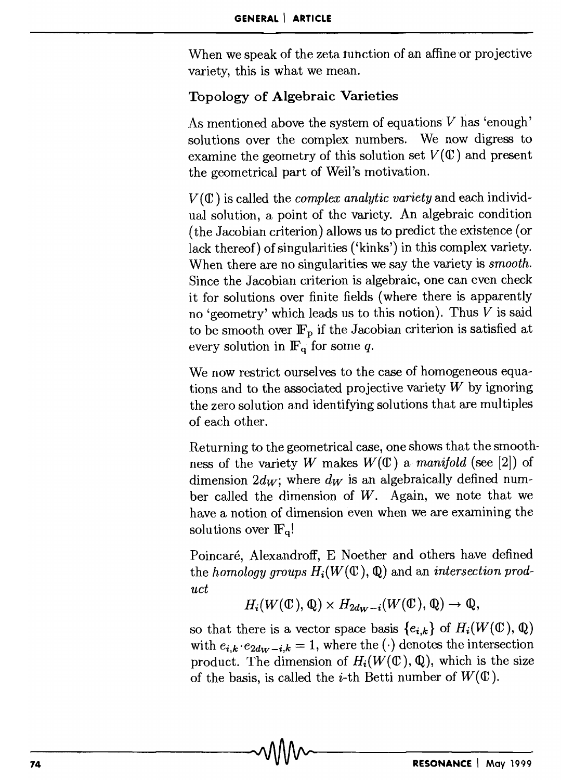When we speak of the zeta function of an affine or projective variety, this is what we mean.

## Topology of Algebraic Varieties

As mentioned above the system of equations  $V$  has 'enough' solutions over the complex numbers. We now digress to examine the geometry of this solution set  $V(\mathbb{C})$  and present the geometrical part of Wei!'s motivation.

 $V(\mathbb{C})$  is called the *complex analytic variety* and each individual solution, a point of the variety. An algebraic condition (the Jacobian criterion) allows us to predict the existence (or lack thereof) of singularities ('kinks') in this complex variety. When there are no singularities we say the variety is *smooth.*  Since the Jacobian criterion is algebraic, one can even check it for solutions over finite fields (where there is apparently no 'geometry' which leads us to this notion). Thus *V* is said to be smooth over  $\mathbb{F}_p$  if the Jacobian criterion is satisfied at every solution in  $\mathbb{F}_q$  for some *q*.

We now restrict ourselves to the case of homogeneous equations and to the associated projective variety *W* by ignoring the zero solution and identifying solutions that are multiples of each other.

Returning to the geometrical case, one shows that the smoothness of the variety *W* makes  $W(\mathbb{C})$  a *manifold* (see [2]) of dimension  $2d_W$ ; where  $d_W$  is an algebraically defined number called the dimension of *W.* Again, we note that we have a notion of dimension even when we are examining the solutions over  $\mathbb{F}_q!$ 

Poincaré, Alexandroff, E Noether and others have defined the *homology groups*  $H_i(W(\mathbb{C}), \mathbb{Q})$  and an *intersection product* 

$$
H_i(W(\mathbb{C}), \mathbb{Q}) \times H_{2d_W - i}(W(\mathbb{C}), \mathbb{Q}) \to \mathbb{Q},
$$

so that there is a vector space basis  ${e_{i,k}}$  of  $H_i(W(\mathbb{C}), \mathbb{Q})$ with  $e_{i,k} \cdot e_{2dw-i,k} = 1$ , where the  $(\cdot)$  denotes the intersection product. The dimension of  $H_i(W(\mathbb{C}), \mathbb{Q})$ , which is the size of the basis, is called the *i*-th Betti number of  $W(\mathbb{C})$ .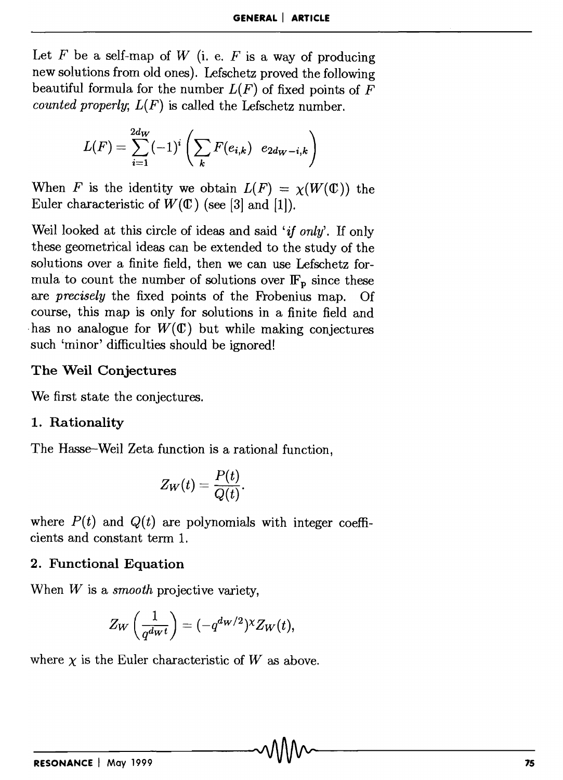Let  $F$  be a self-map of  $W$  (i. e.  $F$  is a way of producing new solutions from old ones). Lefschetz proved the following beautiful formula for the number  $L(F)$  of fixed points of  $F$ *counted properly;*  $L(F)$  is called the Lefschetz number.

$$
L(F) = \sum_{i=1}^{2d_W} (-1)^i \left( \sum_k F(e_{i,k}) \ e_{2d_W - i,k} \right)
$$

When *F* is the identity we obtain  $L(F) = \chi(W(\mathbb{C}))$  the Euler characteristic of  $W(\mathbb{C})$  (see [3] and [1]).

Weil looked at this circle of ideas and said '*if only*'. If only these geometrical ideas can be extended to the study of the solutions over a finite field, then we can use Lefschetz formula to count the number of solutions over  $\mathbb{F}_p$  since these are *precisely* the fixed points of the Frobenius map. Of course, this map is only for solutions in a finite field and has no analogue for  $W(\mathbb{C})$  but while making conjectures such 'minor' difficulties should be ignored!

### The Weil Conjectures

We first state the conjectures.

### 1. Rationality

The Hasse–Weil Zeta function is a rational function,

$$
Z_W(t) = \frac{P(t)}{Q(t)}.
$$

where  $P(t)$  and  $Q(t)$  are polynomials with integer coefficients and constant term 1.

### 2. Functional Equation

When *W* is a *smooth* projective variety,

$$
Z_W\left(\frac{1}{q^{d_Wt}}\right) = (-q^{d_W/2})^{\chi} Z_W(t),
$$

where  $\chi$  is the Euler characteristic of W as above.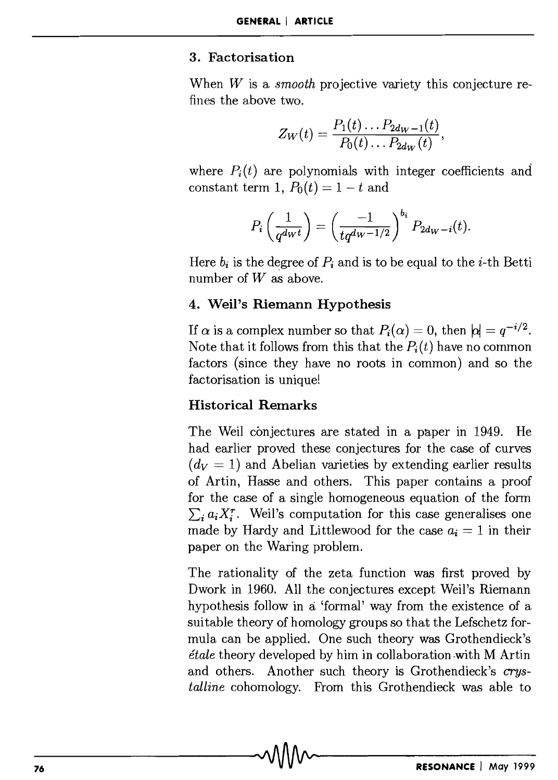#### 3. Factorisation

When *W* is a *smooth* projective variety this conjecture refines the above two.

$$
Z_W(t)=\frac{P_1(t)\ldots P_{2d_W-1}(t)}{P_0(t)\ldots P_{2d_W}(t)},
$$

where  $P_i(t)$  are polynomials with integer coefficients and constant term 1,  $P_0(t) = 1 - t$  and

$$
P_i\left(\frac{1}{q^{dwt}}\right) = \left(\frac{-1}{tq^{d_W-1/2}}\right)^{b_i} P_{2d_W-i}(t).
$$

Here  $b_i$  is the degree of  $P_i$  and is to be equal to the *i*-th Betti number of  $W$  as above.

#### 4. Weil's Riemann Hypothesis

If  $\alpha$  is a complex number so that  $P_i(\alpha) = 0$ , then  $|\alpha| = q^{-i/2}$ . Note that it follows from this that the  $P_i(t)$  have no common factors (since they have no roots in common) and so the factorisation is unique!

#### Historical Remarks

The Weil conjectures are stated in a paper in 1949. He had earlier proved these conjectures for the case of curves  $(d_V = 1)$  and Abelian varieties by extending earlier results of Artin, Hasse and others. This paper contains a proof for the case of a single homogeneous equation of the form  $\sum_i a_i X_i^r$ . Weil's computation for this case generalises one made by Hardy and Littlewood for the case  $a_i = 1$  in their paper on the Waring problem.

The rationality of the zeta function was first proved by Dwork in 1960. All the conjectures except Weil's Riemann hypothesis follow in a 'formal' way from the existence of a suitable theory of homology groups so that the Lefschetz formula can be applied. One such theory was Grothendieck's *etale* theory developed by him in collaboration .with MArtin and others. Another such theory is Grothendieck's *crystalline* cohomology. From this Grothendieck was able to